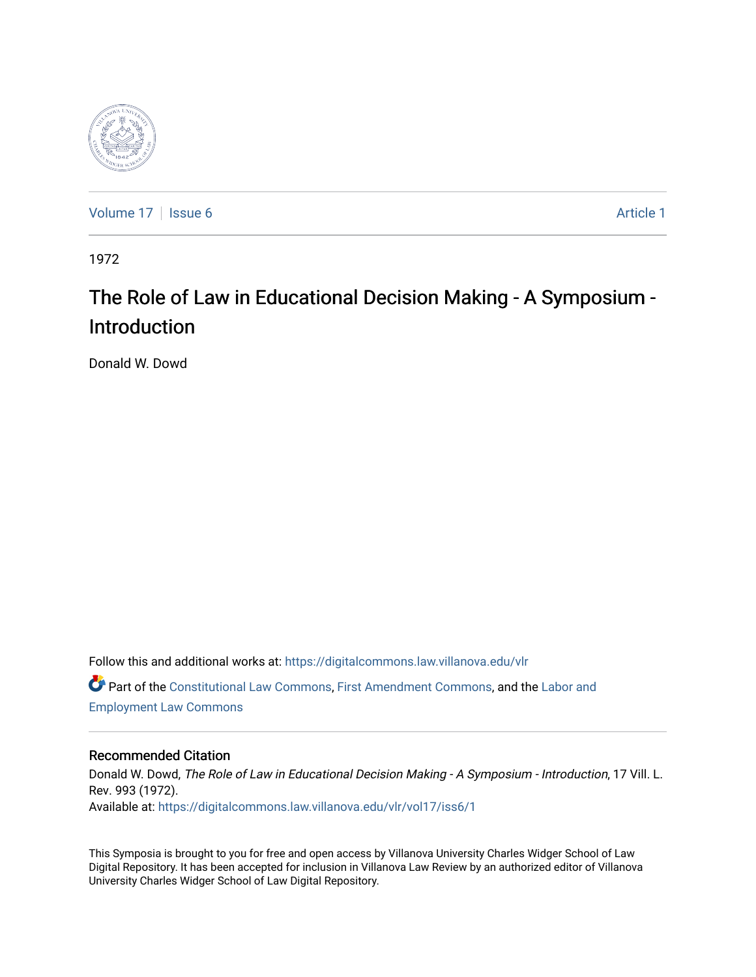

[Volume 17](https://digitalcommons.law.villanova.edu/vlr/vol17) | [Issue 6](https://digitalcommons.law.villanova.edu/vlr/vol17/iss6) Article 1

1972

## The Role of Law in Educational Decision Making - A Symposium - Introduction

Donald W. Dowd

Follow this and additional works at: [https://digitalcommons.law.villanova.edu/vlr](https://digitalcommons.law.villanova.edu/vlr?utm_source=digitalcommons.law.villanova.edu%2Fvlr%2Fvol17%2Fiss6%2F1&utm_medium=PDF&utm_campaign=PDFCoverPages) Part of the [Constitutional Law Commons,](http://network.bepress.com/hgg/discipline/589?utm_source=digitalcommons.law.villanova.edu%2Fvlr%2Fvol17%2Fiss6%2F1&utm_medium=PDF&utm_campaign=PDFCoverPages) [First Amendment Commons,](http://network.bepress.com/hgg/discipline/1115?utm_source=digitalcommons.law.villanova.edu%2Fvlr%2Fvol17%2Fiss6%2F1&utm_medium=PDF&utm_campaign=PDFCoverPages) and the [Labor and](http://network.bepress.com/hgg/discipline/909?utm_source=digitalcommons.law.villanova.edu%2Fvlr%2Fvol17%2Fiss6%2F1&utm_medium=PDF&utm_campaign=PDFCoverPages) [Employment Law Commons](http://network.bepress.com/hgg/discipline/909?utm_source=digitalcommons.law.villanova.edu%2Fvlr%2Fvol17%2Fiss6%2F1&utm_medium=PDF&utm_campaign=PDFCoverPages)

### Recommended Citation

Donald W. Dowd, The Role of Law in Educational Decision Making - A Symposium - Introduction, 17 Vill. L. Rev. 993 (1972). Available at: [https://digitalcommons.law.villanova.edu/vlr/vol17/iss6/1](https://digitalcommons.law.villanova.edu/vlr/vol17/iss6/1?utm_source=digitalcommons.law.villanova.edu%2Fvlr%2Fvol17%2Fiss6%2F1&utm_medium=PDF&utm_campaign=PDFCoverPages) 

This Symposia is brought to you for free and open access by Villanova University Charles Widger School of Law Digital Repository. It has been accepted for inclusion in Villanova Law Review by an authorized editor of Villanova University Charles Widger School of Law Digital Repository.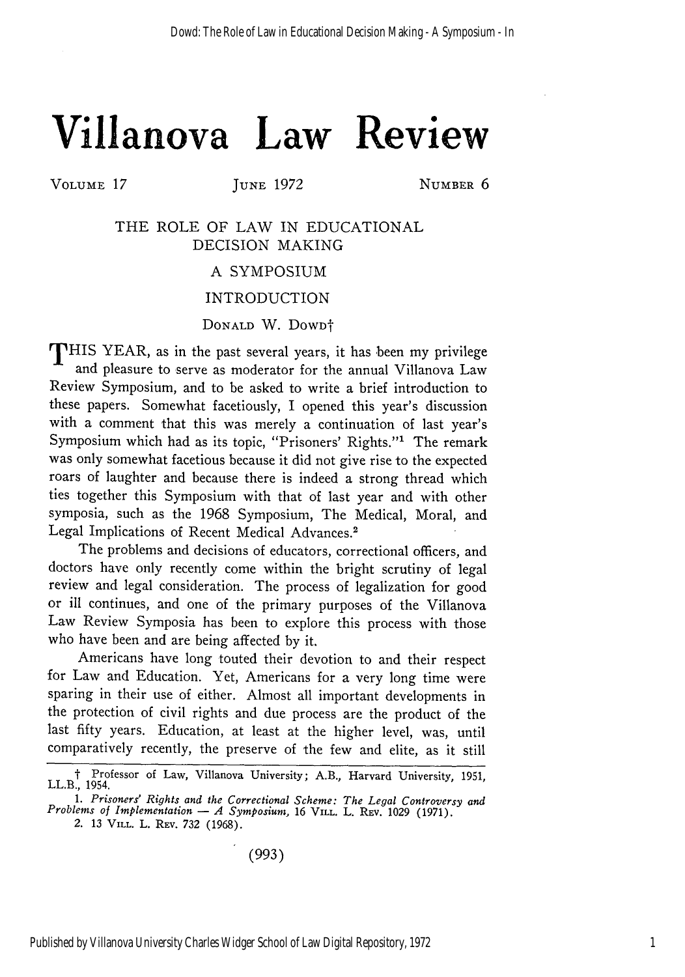# **Villanova Law Review**

VOLUME 17 **JUNE 1972 NUMBER 6** 

THE ROLE OF LAW IN EDUCATIONAL DECISION MAKING

#### A SYMPOSIUM

#### INTRODUCTION

#### DONALD W. DOWD<sup>+</sup>

THIS YEAR, as in the past several years, it has been my privilege and pleasure to serve as moderator for the annual Villanova Law Review Symposium, and to be asked to write a brief introduction to these papers. Somewhat facetiously, I opened this year's discussion with a comment that this was merely a continuation of last year's Symposium which had as its topic, "Prisoners' Rights."' The remark was only somewhat facetious because it did not give rise to the expected roars of laughter and because there is indeed a strong thread which ties together this Symposium with that of last year and with other symposia, such as the 1968 Symposium, The Medical, Moral, and Legal Implications of Recent Medical Advances.<sup>2</sup>

The problems and decisions of educators, correctional officers, and doctors have only recently come within the bright scrutiny of legal review and legal consideration. The process of legalization for good or ill continues, and one of the primary purposes of the Villanova Law Review Symposia has been to explore this process with those who have been and are being affected by it.

Americans have long touted their devotion to and their respect for Law and Education. Yet, Americans for a very long time were sparing in their use of either. Almost all important developments in the protection of civil rights and due process are the product of the last fifty years. Education, at least at the higher level, was, until comparatively recently, the preserve of the few and elite, as it still

(993)

t Professor of Law, Villanova University; A.B., Harvard University, 1951, LL.B., 1954.

*<sup>1.</sup> Prisoners' Rights and the Correctional Scheme: The Legal Controversy and Problems of Implementation*  $-A$  *<i>Symposium,* 16 VILL. L. REV. 1029 (1971).

*<sup>2.</sup>* 13 VILL. L. REV. 732 (1968).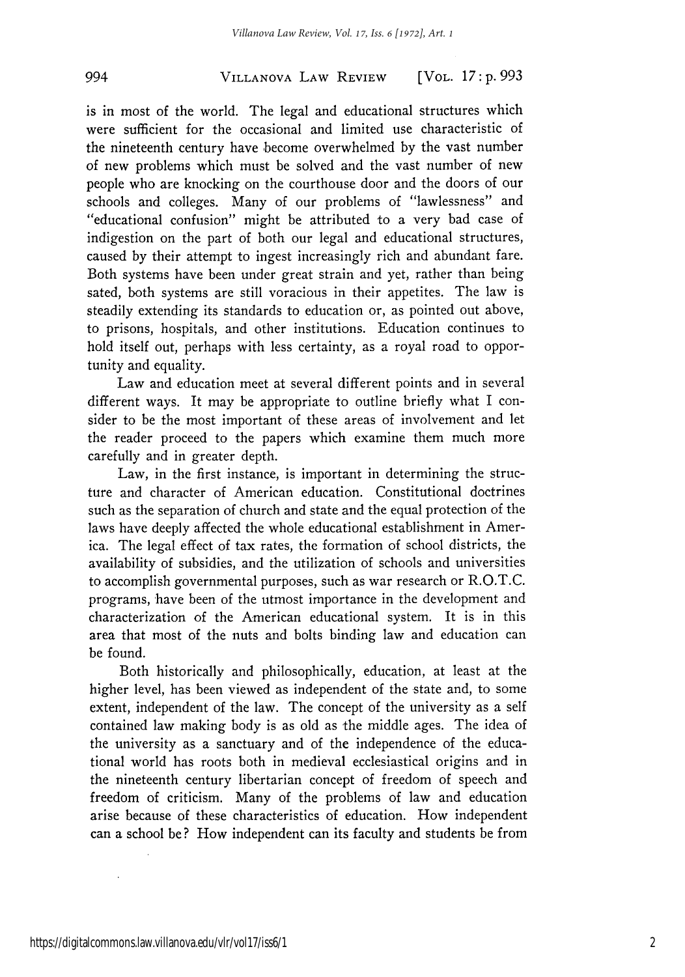#### VILLANOVA LAW REVIEW *994* [VOL. *17* **: p.** *993*

is in most of the world. The legal and educational structures which were sufficient for the occasional and limited use characteristic of the nineteenth century have become overwhelmed by the vast number of new problems which must be solved and the vast number of new people who are knocking on the courthouse door and the doors of our schools and colleges. Many of our problems of "lawlessness" and "educational confusion" might be attributed to a very bad case of indigestion on the part of both our legal and educational structures, caused by their attempt to ingest increasingly rich and abundant fare. Both systems have been under great strain and yet, rather than being sated, both systems are still voracious in their appetites. The law is steadily extending its standards to education or, as pointed out above, to prisons, hospitals, and other institutions. Education continues to hold itself out, perhaps with less certainty, as a royal road to opportunity and equality.

Law and education meet at several different points and in several different ways. It may be appropriate to outline briefly what I consider to be the most important of these areas of involvement and let the reader proceed to the papers which examine them much more carefully and in greater depth.

Law, in the first instance, is important in determining the structure and character of American education. Constitutional doctrines such as the separation of church and state and the equal protection of the laws have deeply affected the whole educational establishment in America. The legal effect of tax rates, the formation of school districts, the availability of subsidies, and the utilization of schools and universities to accomplish governmental purposes, such as war research or R.O.T.C. programs, have been of the utmost importance in the development and characterization of the American educational system. It is in this area that most of the nuts and bolts binding law and education can be found.

Both historically and philosophically, education, at least at the higher level, has been viewed as independent of the state and, to some extent, independent of the law. The concept of the university as a self contained law making body is as old as the middle ages. The idea of the university as a sanctuary and of the independence of the educational world has roots both in medieval ecclesiastical origins and in the nineteenth century libertarian concept of freedom of speech and freedom of criticism. Many of the problems of law and education arise because of these characteristics of education. How independent can a school be? How independent can its faculty and students be from